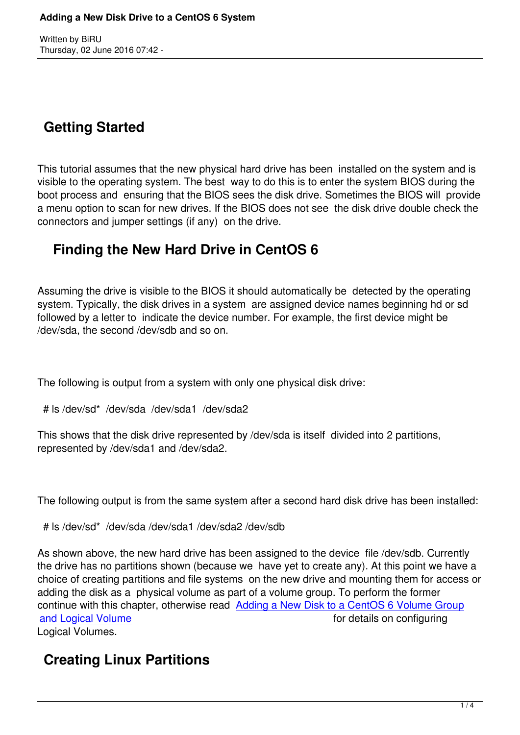Written by Birthest and Birthest and Birthest and Birthest and Birthest and Birthest and Birthest and Birthest

# **Getting Started**

This tutorial assumes that the new physical hard drive has been installed on the system and is visible to the operating system. The best way to do this is to enter the system BIOS during the boot process and ensuring that the BIOS sees the disk drive. Sometimes the BIOS will provide a menu option to scan for new drives. If the BIOS does not see the disk drive double check the connectors and jumper settings (if any) on the drive.

## **Finding the New Hard Drive in CentOS 6**

Assuming the drive is visible to the BIOS it should automatically be detected by the operating system. Typically, the disk drives in a system are assigned device names beginning hd or sd followed by a letter to indicate the device number. For example, the first device might be /dev/sda, the second /dev/sdb and so on.

The following is output from a system with only one physical disk drive:

```
 # ls /dev/sd* /dev/sda /dev/sda1 /dev/sda2
```
This shows that the disk drive represented by /dev/sda is itself divided into 2 partitions, represented by /dev/sda1 and /dev/sda2.

The following output is from the same system after a second hard disk drive has been installed:

# ls /dev/sd\* /dev/sda /dev/sda1 /dev/sda2 /dev/sdb

As shown above, the new hard drive has been assigned to the device file /dev/sdb. Currently the drive has no partitions shown (because we have yet to create any). At this point we have a choice of creating partitions and file systems on the new drive and mounting them for access or adding the disk as a physical volume as part of a volume group. To perform the former continue with this chapter, otherwise read Adding a New Disk to a CentOS 6 Volume Group and Logical Volume and Logical Volume for details on configuring Logical Volumes.

## **[Creating Linu](http://www.techotopia.com/index.php/Adding_a_New_Disk_to_a_CentOS_6_Volume_Group_and_Logical_Volume)x Partitions**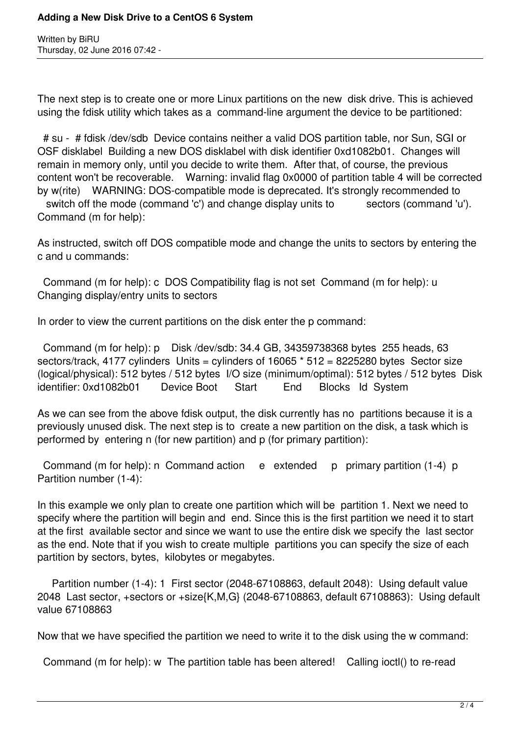Written by BiRU Thursday, 02 June 2016 07:42 -

The next step is to create one or more Linux partitions on the new disk drive. This is achieved using the fdisk utility which takes as a command-line argument the device to be partitioned:

 # su - # fdisk /dev/sdb Device contains neither a valid DOS partition table, nor Sun, SGI or OSF disklabel Building a new DOS disklabel with disk identifier 0xd1082b01. Changes will remain in memory only, until you decide to write them. After that, of course, the previous content won't be recoverable. Warning: invalid flag 0x0000 of partition table 4 will be corrected by w(rite) WARNING: DOS-compatible mode is deprecated. It's strongly recommended to switch off the mode (command 'c') and change display units to sectors (command 'u'). Command (m for help):

As instructed, switch off DOS compatible mode and change the units to sectors by entering the c and u commands:

 Command (m for help): c DOS Compatibility flag is not set Command (m for help): u Changing display/entry units to sectors

In order to view the current partitions on the disk enter the p command:

 Command (m for help): p Disk /dev/sdb: 34.4 GB, 34359738368 bytes 255 heads, 63 sectors/track, 4177 cylinders Units = cylinders of  $16065 * 512 = 8225280$  bytes Sector size (logical/physical): 512 bytes / 512 bytes I/O size (minimum/optimal): 512 bytes / 512 bytes Disk identifier: 0xd1082b01 Device Boot Start End Blocks Id System

As we can see from the above fdisk output, the disk currently has no partitions because it is a previously unused disk. The next step is to create a new partition on the disk, a task which is performed by entering n (for new partition) and p (for primary partition):

Command (m for help): n Command action e extended p primary partition (1-4) p Partition number (1-4):

In this example we only plan to create one partition which will be partition 1. Next we need to specify where the partition will begin and end. Since this is the first partition we need it to start at the first available sector and since we want to use the entire disk we specify the last sector as the end. Note that if you wish to create multiple partitions you can specify the size of each partition by sectors, bytes, kilobytes or megabytes.

 Partition number (1-4): 1 First sector (2048-67108863, default 2048): Using default value 2048 Last sector, +sectors or +size{K,M,G} (2048-67108863, default 67108863): Using default value 67108863

Now that we have specified the partition we need to write it to the disk using the w command:

Command (m for help): w The partition table has been altered! Calling ioctl() to re-read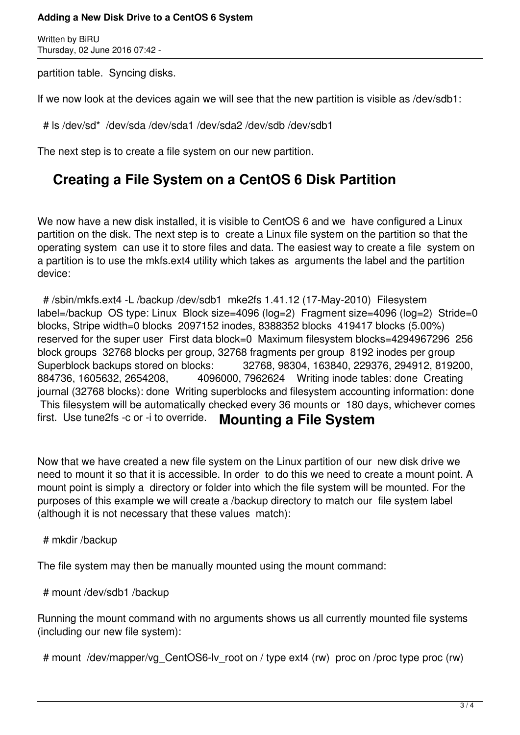#### **Adding a New Disk Drive to a CentOS 6 System**

Written by BiRU Thursday, 02 June 2016 07:42 -

partition table. Syncing disks.

If we now look at the devices again we will see that the new partition is visible as /dev/sdb1:

# ls /dev/sd\* /dev/sda /dev/sda1 /dev/sda2 /dev/sdb /dev/sdb1

The next step is to create a file system on our new partition.

### **Creating a File System on a CentOS 6 Disk Partition**

We now have a new disk installed, it is visible to CentOS 6 and we have configured a Linux partition on the disk. The next step is to create a Linux file system on the partition so that the operating system can use it to store files and data. The easiest way to create a file system on a partition is to use the mkfs.ext4 utility which takes as arguments the label and the partition device:

 # /sbin/mkfs.ext4 -L /backup /dev/sdb1 mke2fs 1.41.12 (17-May-2010) Filesystem label=/backup OS type: Linux Block size=4096 (log=2) Fragment size=4096 (log=2) Stride=0 blocks, Stripe width=0 blocks 2097152 inodes, 8388352 blocks 419417 blocks (5.00%) reserved for the super user First data block=0 Maximum filesystem blocks=4294967296 256 block groups 32768 blocks per group, 32768 fragments per group 8192 inodes per group Superblock backups stored on blocks: 32768, 98304, 163840, 229376, 294912, 819200, 884736, 1605632, 2654208, 4096000, 7962624 Writing inode tables: done Creating journal (32768 blocks): done Writing superblocks and filesystem accounting information: done This filesystem will be automatically checked every 36 mounts or 180 days, whichever comes first. Use tune2fs -c or -i to override. **Mounting a File System**

Now that we have created a new file system on the Linux partition of our new disk drive we need to mount it so that it is accessible. In order to do this we need to create a mount point. A mount point is simply a directory or folder into which the file system will be mounted. For the purposes of this example we will create a /backup directory to match our file system label (although it is not necessary that these values match):

#### # mkdir /backup

The file system may then be manually mounted using the mount command:

# mount /dev/sdb1 /backup

Running the mount command with no arguments shows us all currently mounted file systems (including our new file system):

# mount /dev/mapper/vg CentOS6-lv root on / type ext4 (rw) proc on /proc type proc (rw)